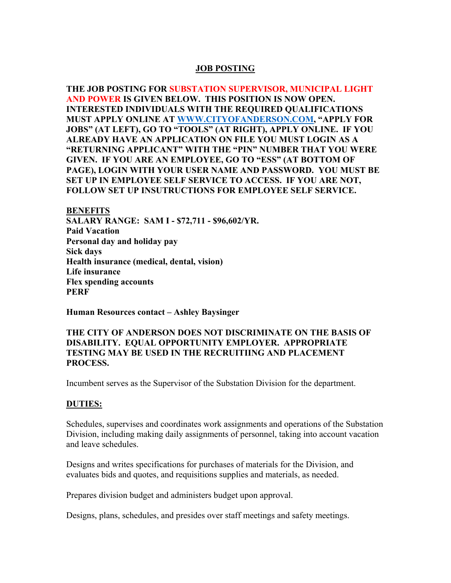### **JOB POSTING**

**THE JOB POSTING FOR SUBSTATION SUPERVISOR, MUNICIPAL LIGHT AND POWER IS GIVEN BELOW. THIS POSITION IS NOW OPEN. INTERESTED INDIVIDUALS WITH THE REQUIRED QUALIFICATIONS MUST APPLY ONLINE AT WWW.CITYOFANDERSON.COM, "APPLY FOR JOBS" (AT LEFT), GO TO "TOOLS" (AT RIGHT), APPLY ONLINE. IF YOU ALREADY HAVE AN APPLICATION ON FILE YOU MUST LOGIN AS A "RETURNING APPLICANT" WITH THE "PIN" NUMBER THAT YOU WERE GIVEN. IF YOU ARE AN EMPLOYEE, GO TO "ESS" (AT BOTTOM OF PAGE), LOGIN WITH YOUR USER NAME AND PASSWORD. YOU MUST BE SET UP IN EMPLOYEE SELF SERVICE TO ACCESS. IF YOU ARE NOT, FOLLOW SET UP INSUTRUCTIONS FOR EMPLOYEE SELF SERVICE.** 

**BENEFITS SALARY RANGE: SAM I - \$72,711 - \$96,602/YR. Paid Vacation Personal day and holiday pay Sick days Health insurance (medical, dental, vision) Life insurance Flex spending accounts PERF** 

**Human Resources contact – Ashley Baysinger** 

#### **THE CITY OF ANDERSON DOES NOT DISCRIMINATE ON THE BASIS OF DISABILITY. EQUAL OPPORTUNITY EMPLOYER. APPROPRIATE TESTING MAY BE USED IN THE RECRUITIING AND PLACEMENT PROCESS.**

Incumbent serves as the Supervisor of the Substation Division for the department.

#### **DUTIES:**

Schedules, supervises and coordinates work assignments and operations of the Substation Division, including making daily assignments of personnel, taking into account vacation and leave schedules.

Designs and writes specifications for purchases of materials for the Division, and evaluates bids and quotes, and requisitions supplies and materials, as needed.

Prepares division budget and administers budget upon approval.

Designs, plans, schedules, and presides over staff meetings and safety meetings.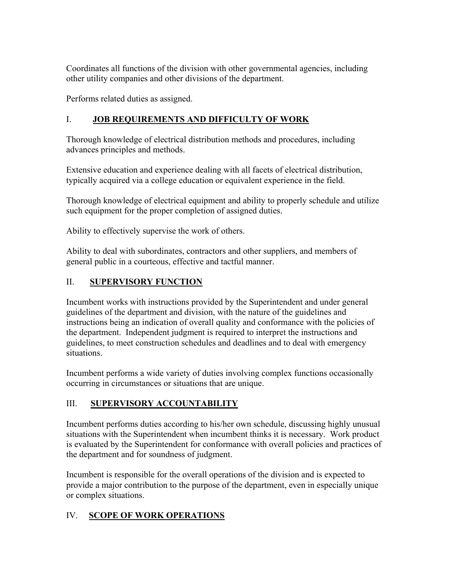Coordinates all functions of the division with other governmental agencies, including other utility companies and other divisions of the department.

Performs related duties as assigned.

## I. **JOB REQUIREMENTS AND DIFFICULTY OF WORK**

Thorough knowledge of electrical distribution methods and procedures, including advances principles and methods.

Extensive education and experience dealing with all facets of electrical distribution, typically acquired via a college education or equivalent experience in the field.

Thorough knowledge of electrical equipment and ability to properly schedule and utilize such equipment for the proper completion of assigned duties.

Ability to effectively supervise the work of others.

Ability to deal with subordinates, contractors and other suppliers, and members of general public in a courteous, effective and tactful manner.

## II. **SUPERVISORY FUNCTION**

Incumbent works with instructions provided by the Superintendent and under general guidelines of the department and division, with the nature of the guidelines and instructions being an indication of overall quality and conformance with the policies of the department. Independent judgment is required to interpret the instructions and guidelines, to meet construction schedules and deadlines and to deal with emergency situations.

Incumbent performs a wide variety of duties involving complex functions occasionally occurring in circumstances or situations that are unique.

# III. **SUPERVISORY ACCOUNTABILITY**

Incumbent performs duties according to his/her own schedule, discussing highly unusual situations with the Superintendent when incumbent thinks it is necessary. Work product is evaluated by the Superintendent for conformance with overall policies and practices of the department and for soundness of judgment.

Incumbent is responsible for the overall operations of the division and is expected to provide a major contribution to the purpose of the department, even in especially unique or complex situations.

# IV. **SCOPE OF WORK OPERATIONS**